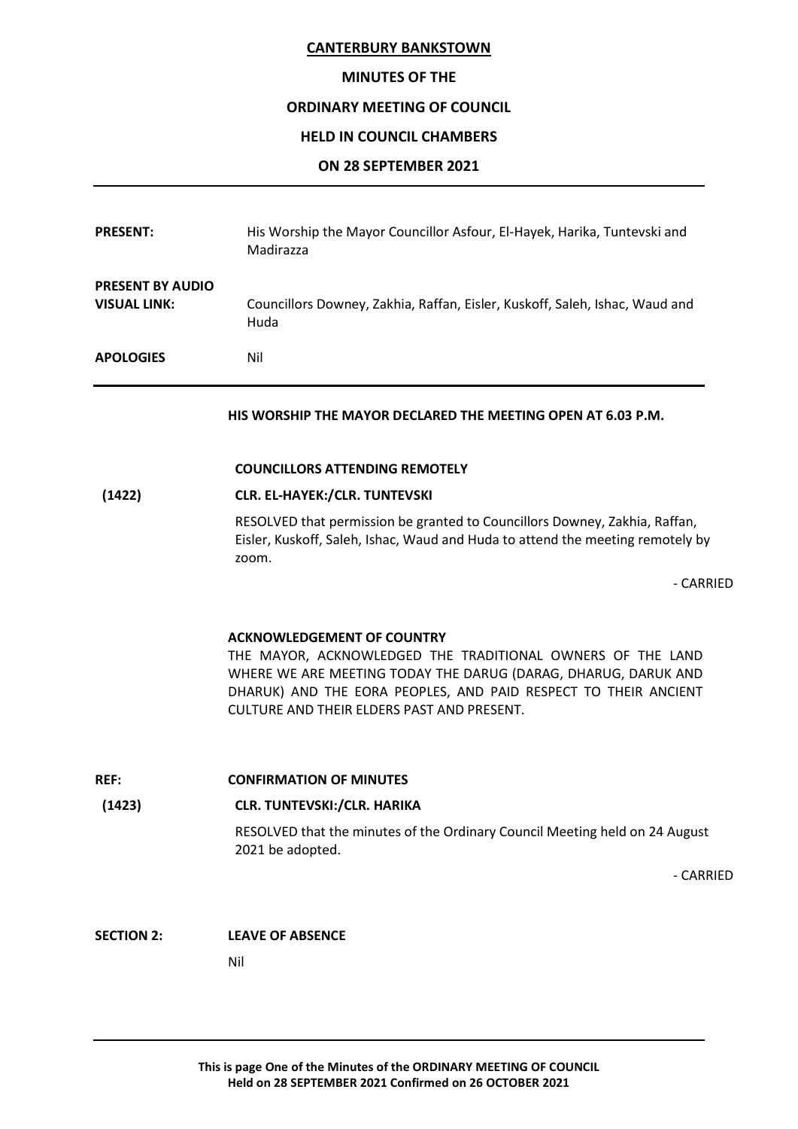### MINUTES OF THE

### ORDINARY MEETING OF COUNCIL

### HELD IN COUNCIL CHAMBERS

#### ON 28 SEPTEMBER 2021

| <b>PRESENT:</b>                                | His Worship the Mayor Councillor Asfour, El-Hayek, Harika, Tuntevski and<br>Madirazza |
|------------------------------------------------|---------------------------------------------------------------------------------------|
| <b>PRESENT BY AUDIO</b><br><b>VISUAL LINK:</b> | Councillors Downey, Zakhia, Raffan, Eisler, Kuskoff, Saleh, Ishac, Waud and<br>Huda   |
| <b>APOLOGIES</b>                               | Nil                                                                                   |

HIS WORSHIP THE MAYOR DECLARED THE MEETING OPEN AT 6.03 P.M.

#### COUNCILLORS ATTENDING REMOTELY

# (1422) CLR. EL-HAYEK:/CLR. TUNTEVSKI

RESOLVED that permission be granted to Councillors Downey, Zakhia, Raffan, Eisler, Kuskoff, Saleh, Ishac, Waud and Huda to attend the meeting remotely by zoom.

- CARRIED

### ACKNOWLEDGEMENT OF COUNTRY

THE MAYOR, ACKNOWLEDGED THE TRADITIONAL OWNERS OF THE LAND WHERE WE ARE MEETING TODAY THE DARUG (DARAG, DHARUG, DARUK AND DHARUK) AND THE EORA PEOPLES, AND PAID RESPECT TO THEIR ANCIENT CULTURE AND THEIR ELDERS PAST AND PRESENT.

REF: CONFIRMATION OF MINUTES

### (1423) CLR. TUNTEVSKI:/CLR. HARIKA

RESOLVED that the minutes of the Ordinary Council Meeting held on 24 August 2021 be adopted.

- CARRIED

### SECTION 2: LEAVE OF ABSENCE

Nil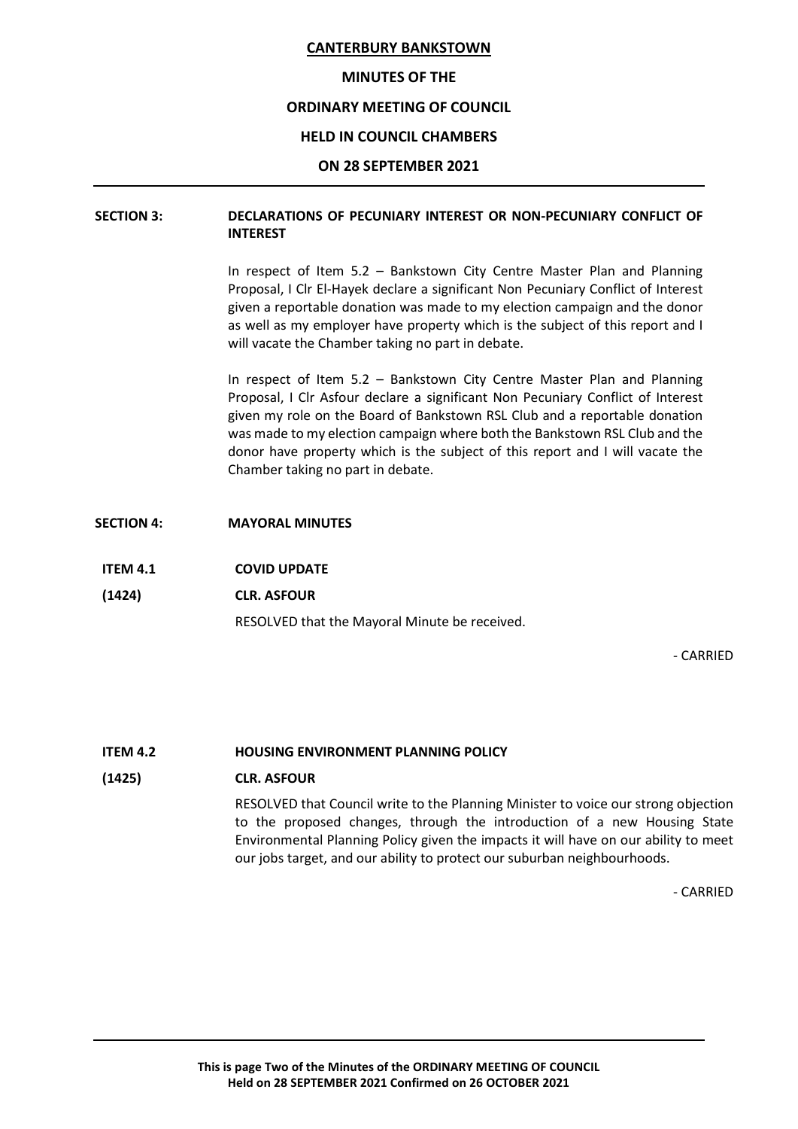### MINUTES OF THE

### ORDINARY MEETING OF COUNCIL

### HELD IN COUNCIL CHAMBERS

### ON 28 SEPTEMBER 2021

# SECTION 3: DECLARATIONS OF PECUNIARY INTEREST OR NON-PECUNIARY CONFLICT OF INTEREST

In respect of Item 5.2 – Bankstown City Centre Master Plan and Planning Proposal, I Clr El-Hayek declare a significant Non Pecuniary Conflict of Interest given a reportable donation was made to my election campaign and the donor as well as my employer have property which is the subject of this report and I will vacate the Chamber taking no part in debate.

In respect of Item 5.2 – Bankstown City Centre Master Plan and Planning Proposal, I Clr Asfour declare a significant Non Pecuniary Conflict of Interest given my role on the Board of Bankstown RSL Club and a reportable donation was made to my election campaign where both the Bankstown RSL Club and the donor have property which is the subject of this report and I will vacate the Chamber taking no part in debate.

#### SECTION 4: MAYORAL MINUTES

- ITEM 4.1 COVID UPDATE
- (1424) CLR. ASFOUR

RESOLVED that the Mayoral Minute be received.

- CARRIED

#### ITEM 4.2 HOUSING ENVIRONMENT PLANNING POLICY

#### (1425) CLR. ASFOUR

RESOLVED that Council write to the Planning Minister to voice our strong objection to the proposed changes, through the introduction of a new Housing State Environmental Planning Policy given the impacts it will have on our ability to meet our jobs target, and our ability to protect our suburban neighbourhoods.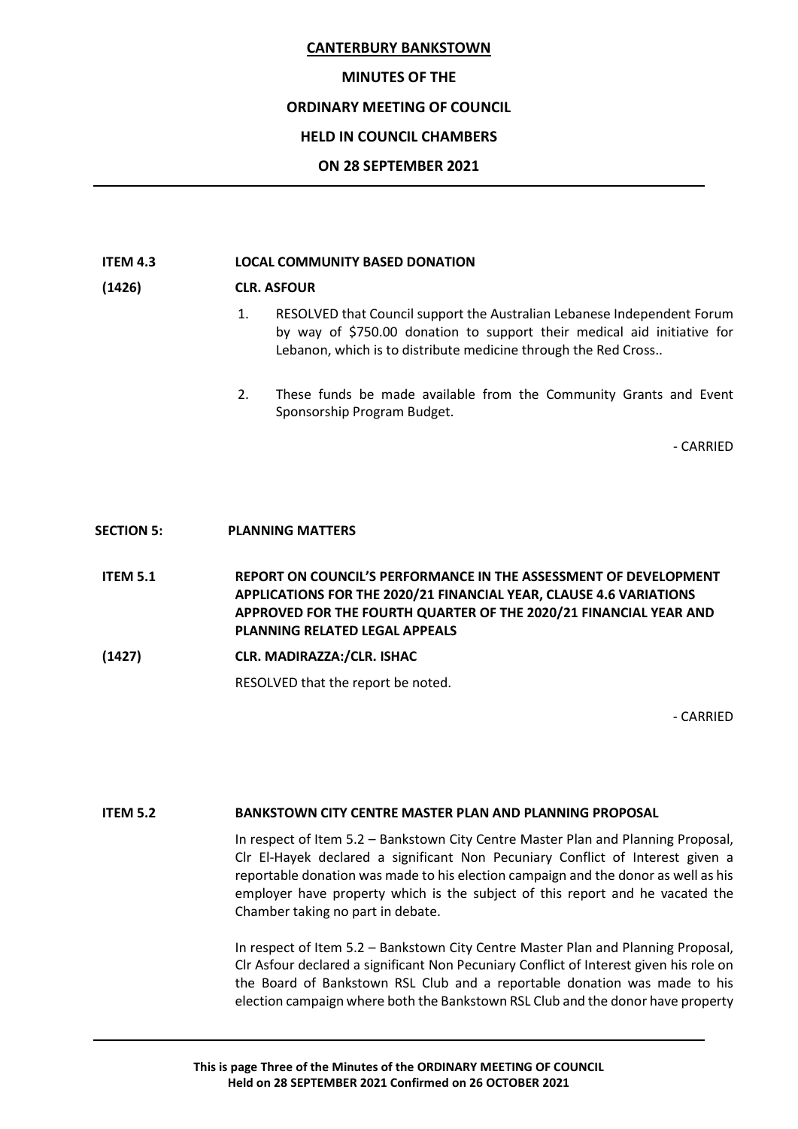### MINUTES OF THE

# ORDINARY MEETING OF COUNCIL

### HELD IN COUNCIL CHAMBERS

### ON 28 SEPTEMBER 2021

### ITEM 4.3 LOCAL COMMUNITY BASED DONATION

### (1426) CLR. ASFOUR

- 1. RESOLVED that Council support the Australian Lebanese Independent Forum by way of \$750.00 donation to support their medical aid initiative for Lebanon, which is to distribute medicine through the Red Cross..
- 2. These funds be made available from the Community Grants and Event Sponsorship Program Budget.

- CARRIED

### SECTION 5: PLANNING MATTERS

ITEM 5.1 REPORT ON COUNCIL'S PERFORMANCE IN THE ASSESSMENT OF DEVELOPMENT APPLICATIONS FOR THE 2020/21 FINANCIAL YEAR, CLAUSE 4.6 VARIATIONS APPROVED FOR THE FOURTH QUARTER OF THE 2020/21 FINANCIAL YEAR AND PLANNING RELATED LEGAL APPEALS

(1427) CLR. MADIRAZZA:/CLR. ISHAC

RESOLVED that the report be noted.

- CARRIED

### ITEM 5.2 BANKSTOWN CITY CENTRE MASTER PLAN AND PLANNING PROPOSAL

In respect of Item 5.2 – Bankstown City Centre Master Plan and Planning Proposal, Clr El-Hayek declared a significant Non Pecuniary Conflict of Interest given a reportable donation was made to his election campaign and the donor as well as his employer have property which is the subject of this report and he vacated the Chamber taking no part in debate.

In respect of Item 5.2 – Bankstown City Centre Master Plan and Planning Proposal, Clr Asfour declared a significant Non Pecuniary Conflict of Interest given his role on the Board of Bankstown RSL Club and a reportable donation was made to his election campaign where both the Bankstown RSL Club and the donor have property

This is page Three of the Minutes of the ORDINARY MEETING OF COUNCIL Held on 28 SEPTEMBER 2021 Confirmed on 26 OCTOBER 2021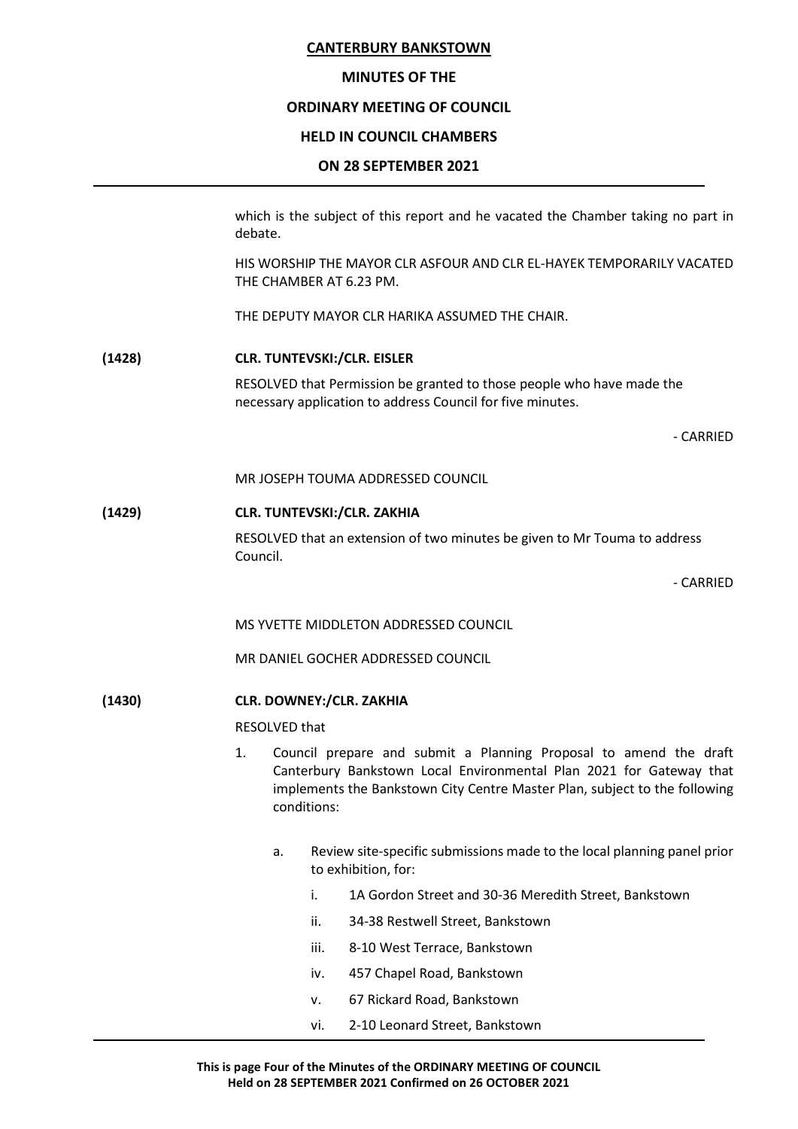### MINUTES OF THE

### ORDINARY MEETING OF COUNCIL

### HELD IN COUNCIL CHAMBERS

### ON 28 SEPTEMBER 2021

which is the subject of this report and he vacated the Chamber taking no part in debate.

HIS WORSHIP THE MAYOR CLR ASFOUR AND CLR EL-HAYEK TEMPORARILY VACATED THE CHAMBER AT 6.23 PM.

THE DEPUTY MAYOR CLR HARIKA ASSUMED THE CHAIR.

### (1428) CLR. TUNTEVSKI:/CLR. EISLER

RESOLVED that Permission be granted to those people who have made the necessary application to address Council for five minutes.

- CARRIED

MR JOSEPH TOUMA ADDRESSED COUNCIL

# (1429) CLR. TUNTEVSKI:/CLR. ZAKHIA RESOLVED that an extension of two minutes be given to Mr Touma to address Council.

- CARRIED

MS YVETTE MIDDLETON ADDRESSED COUNCIL

MR DANIEL GOCHER ADDRESSED COUNCIL

(1430) CLR. DOWNEY:/CLR. ZAKHIA

RESOLVED that

- 1. Council prepare and submit a Planning Proposal to amend the draft Canterbury Bankstown Local Environmental Plan 2021 for Gateway that implements the Bankstown City Centre Master Plan, subject to the following conditions:
	- a. Review site-specific submissions made to the local planning panel prior to exhibition, for:
		- i. 1A Gordon Street and 30-36 Meredith Street, Bankstown
		- ii. 34-38 Restwell Street, Bankstown
		- iii. 8-10 West Terrace, Bankstown
		- iv. 457 Chapel Road, Bankstown
		- v. 67 Rickard Road, Bankstown
		- vi. 2-10 Leonard Street, Bankstown

This is page Four of the Minutes of the ORDINARY MEETING OF COUNCIL Held on 28 SEPTEMBER 2021 Confirmed on 26 OCTOBER 2021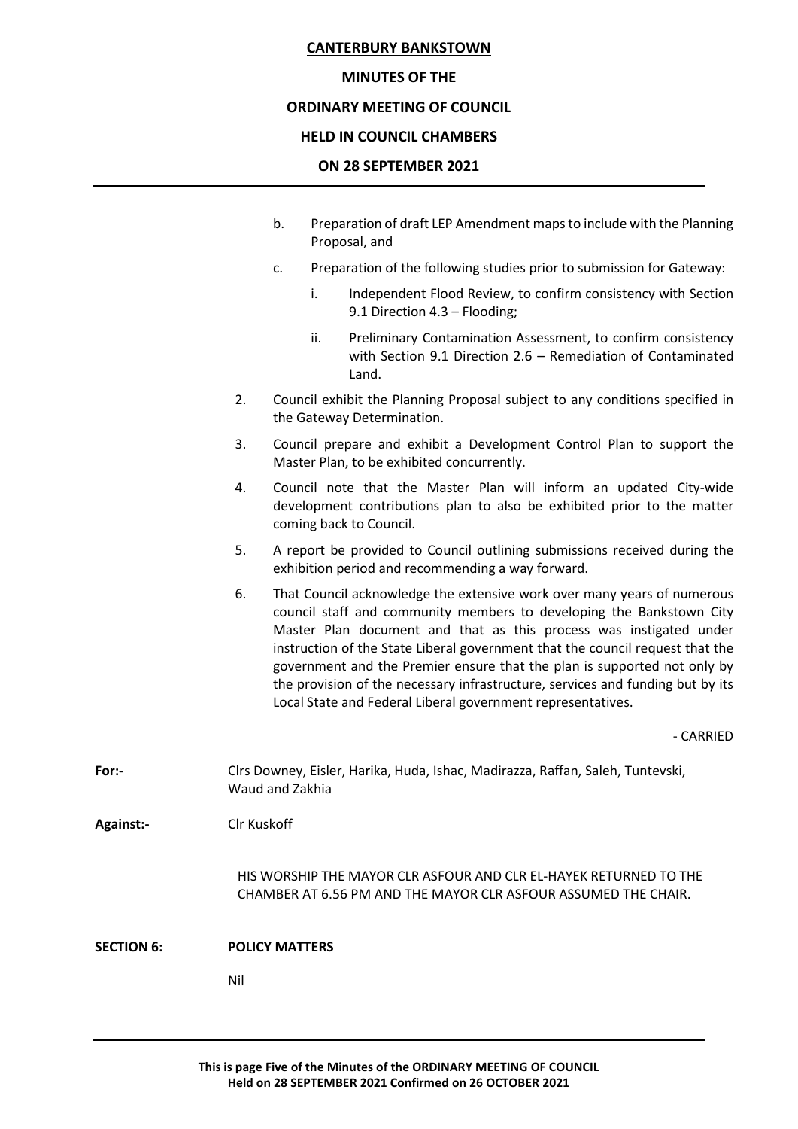### MINUTES OF THE

### ORDINARY MEETING OF COUNCIL

### HELD IN COUNCIL CHAMBERS

### ON 28 SEPTEMBER 2021

- b. Preparation of draft LEP Amendment maps to include with the Planning Proposal, and
- c. Preparation of the following studies prior to submission for Gateway:
	- i. Independent Flood Review, to confirm consistency with Section 9.1 Direction 4.3 – Flooding;
	- ii. Preliminary Contamination Assessment, to confirm consistency with Section 9.1 Direction 2.6 – Remediation of Contaminated Land.
- 2. Council exhibit the Planning Proposal subject to any conditions specified in the Gateway Determination.
- 3. Council prepare and exhibit a Development Control Plan to support the Master Plan, to be exhibited concurrently.
- 4. Council note that the Master Plan will inform an updated City-wide development contributions plan to also be exhibited prior to the matter coming back to Council.
- 5. A report be provided to Council outlining submissions received during the exhibition period and recommending a way forward.
- 6. That Council acknowledge the extensive work over many years of numerous council staff and community members to developing the Bankstown City Master Plan document and that as this process was instigated under instruction of the State Liberal government that the council request that the government and the Premier ensure that the plan is supported not only by the provision of the necessary infrastructure, services and funding but by its Local State and Federal Liberal government representatives.

- CARRIED

For:- Clrs Downey, Eisler, Harika, Huda, Ishac, Madirazza, Raffan, Saleh, Tuntevski, Waud and Zakhia

Against:- Clr Kuskoff

HIS WORSHIP THE MAYOR CLR ASFOUR AND CLR EL-HAYEK RETURNED TO THE CHAMBER AT 6.56 PM AND THE MAYOR CLR ASFOUR ASSUMED THE CHAIR.

SECTION 6: POLICY MATTERS

Nil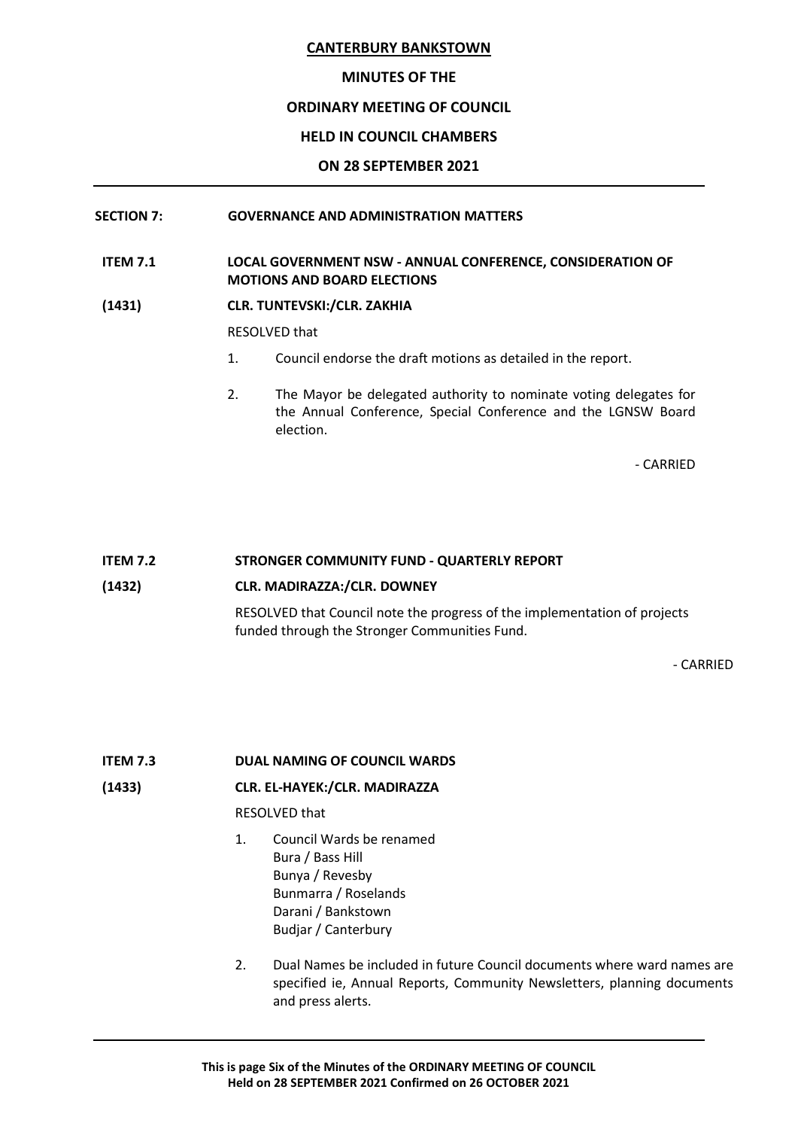### MINUTES OF THE

### ORDINARY MEETING OF COUNCIL

### HELD IN COUNCIL CHAMBERS

### ON 28 SEPTEMBER 2021

### SECTION 7: GOVERNANCE AND ADMINISTRATION MATTERS

### ITEM 7.1 LOCAL GOVERNMENT NSW - ANNUAL CONFERENCE, CONSIDERATION OF MOTIONS AND BOARD ELECTIONS

# (1431) CLR. TUNTEVSKI:/CLR. ZAKHIA

RESOLVED that

- 1. Council endorse the draft motions as detailed in the report.
- 2. The Mayor be delegated authority to nominate voting delegates for the Annual Conference, Special Conference and the LGNSW Board election.

- CARRIED

### ITEM 7.2 STRONGER COMMUNITY FUND - QUARTERLY REPORT

### (1432) CLR. MADIRAZZA:/CLR. DOWNEY

RESOLVED that Council note the progress of the implementation of projects funded through the Stronger Communities Fund.

- CARRIED

### ITEM 7.3 DUAL NAMING OF COUNCIL WARDS

# (1433) CLR. EL-HAYEK:/CLR. MADIRAZZA

RESOLVED that

- 1. Council Wards be renamed Bura / Bass Hill Bunya / Revesby Bunmarra / Roselands Darani / Bankstown Budjar / Canterbury
- 2. Dual Names be included in future Council documents where ward names are specified ie, Annual Reports, Community Newsletters, planning documents and press alerts.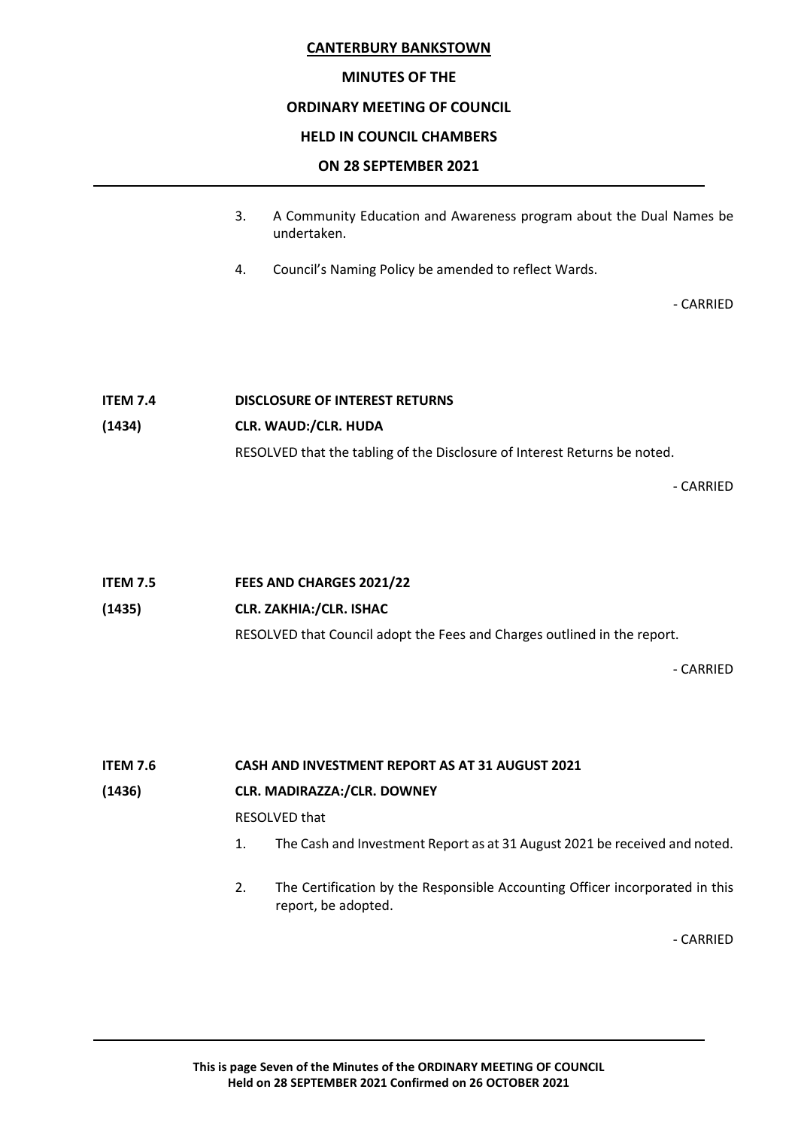### MINUTES OF THE

### ORDINARY MEETING OF COUNCIL

### HELD IN COUNCIL CHAMBERS

### ON 28 SEPTEMBER 2021

- 3. A Community Education and Awareness program about the Dual Names be undertaken.
- 4. Council's Naming Policy be amended to reflect Wards.

- CARRIED

# ITEM 7.4 DISCLOSURE OF INTEREST RETURNS (1434) CLR. WAUD:/CLR. HUDA RESOLVED that the tabling of the Disclosure of Interest Returns be noted.

- CARRIED

### (1435) CLR. ZAKHIA:/CLR. ISHAC

RESOLVED that Council adopt the Fees and Charges outlined in the report.

- CARRIED

# ITEM 7.6 CASH AND INVESTMENT REPORT AS AT 31 AUGUST 2021

### (1436) CLR. MADIRAZZA:/CLR. DOWNEY

RESOLVED that

- 1. The Cash and Investment Report as at 31 August 2021 be received and noted.
- 2. The Certification by the Responsible Accounting Officer incorporated in this report, be adopted.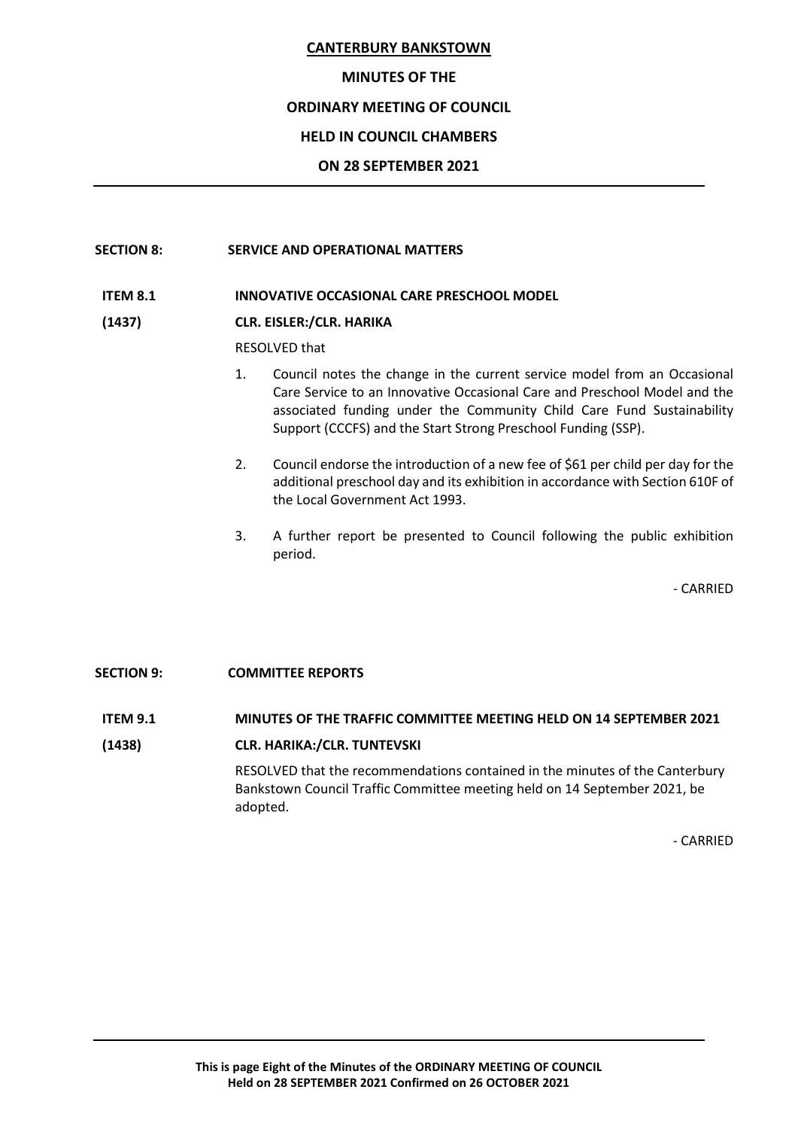### MINUTES OF THE

### ORDINARY MEETING OF COUNCIL

### HELD IN COUNCIL CHAMBERS

### ON 28 SEPTEMBER 2021

### SECTION 8: SERVICE AND OPERATIONAL MATTERS

#### ITEM 8.1 INNOVATIVE OCCASIONAL CARE PRESCHOOL MODEL

#### (1437) CLR. EISLER:/CLR. HARIKA

RESOLVED that

- 1. Council notes the change in the current service model from an Occasional Care Service to an Innovative Occasional Care and Preschool Model and the associated funding under the Community Child Care Fund Sustainability Support (CCCFS) and the Start Strong Preschool Funding (SSP).
- 2. Council endorse the introduction of a new fee of \$61 per child per day for the additional preschool day and its exhibition in accordance with Section 610F of the Local Government Act 1993.
- 3. A further report be presented to Council following the public exhibition period.

- CARRIED

### SECTION 9: COMMITTEE REPORTS

#### ITEM 9.1 MINUTES OF THE TRAFFIC COMMITTEE MEETING HELD ON 14 SEPTEMBER 2021

(1438) CLR. HARIKA:/CLR. TUNTEVSKI RESOLVED that the recommendations contained in the minutes of the Canterbury Bankstown Council Traffic Committee meeting held on 14 September 2021, be adopted.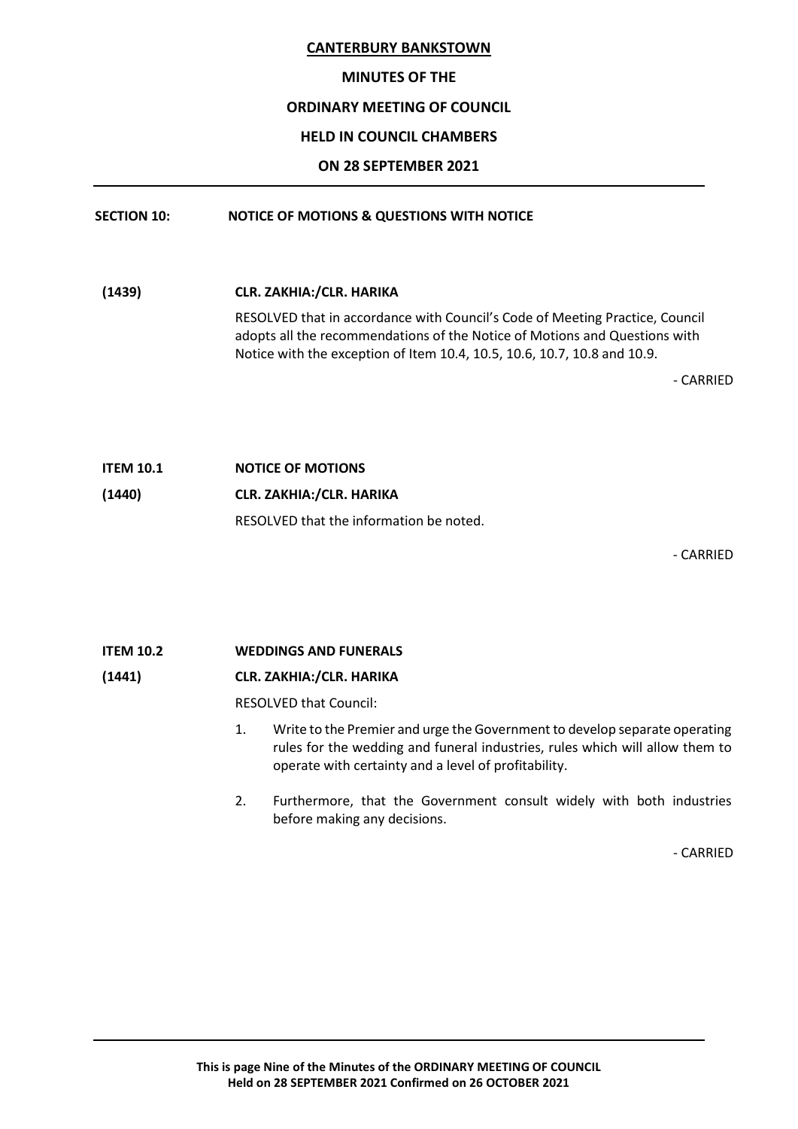### MINUTES OF THE

# ORDINARY MEETING OF COUNCIL

# HELD IN COUNCIL CHAMBERS

# ON 28 SEPTEMBER 2021

# SECTION 10: NOTICE OF MOTIONS & QUESTIONS WITH NOTICE

(1439) CLR. ZAKHIA:/CLR. HARIKA RESOLVED that in accordance with Council's Code of Meeting Practice, Council adopts all the recommendations of the Notice of Motions and Questions with Notice with the exception of Item 10.4, 10.5, 10.6, 10.7, 10.8 and 10.9.

- CARRIED

ITEM 10.1 NOTICE OF MOTIONS (1440) CLR. ZAKHIA:/CLR. HARIKA RESOLVED that the information be noted.

- CARRIED

# ITEM 10.2 WEDDINGS AND FUNERALS

# (1441) CLR. ZAKHIA:/CLR. HARIKA

RESOLVED that Council:

- 1. Write to the Premier and urge the Government to develop separate operating rules for the wedding and funeral industries, rules which will allow them to operate with certainty and a level of profitability.
- 2. Furthermore, that the Government consult widely with both industries before making any decisions.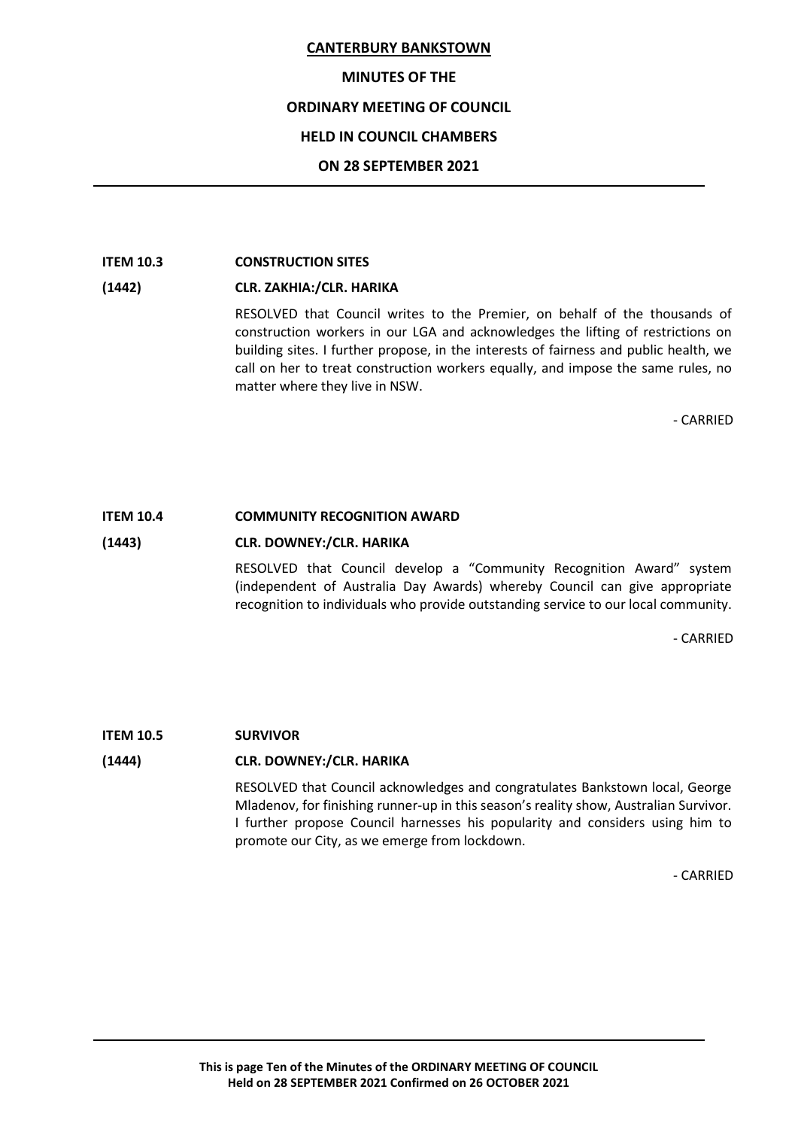### MINUTES OF THE

### ORDINARY MEETING OF COUNCIL

### HELD IN COUNCIL CHAMBERS

### ON 28 SEPTEMBER 2021

### ITEM 10.3 CONSTRUCTION SITES

### (1442) CLR. ZAKHIA:/CLR. HARIKA

RESOLVED that Council writes to the Premier, on behalf of the thousands of construction workers in our LGA and acknowledges the lifting of restrictions on building sites. I further propose, in the interests of fairness and public health, we call on her to treat construction workers equally, and impose the same rules, no matter where they live in NSW.

- CARRIED

### ITEM 10.4 COMMUNITY RECOGNITION AWARD

#### (1443) CLR. DOWNEY:/CLR. HARIKA

RESOLVED that Council develop a "Community Recognition Award" system (independent of Australia Day Awards) whereby Council can give appropriate recognition to individuals who provide outstanding service to our local community.

- CARRIED

#### ITEM 10.5 SURVIVOR

#### (1444) CLR. DOWNEY:/CLR. HARIKA

RESOLVED that Council acknowledges and congratulates Bankstown local, George Mladenov, for finishing runner-up in this season's reality show, Australian Survivor. I further propose Council harnesses his popularity and considers using him to promote our City, as we emerge from lockdown.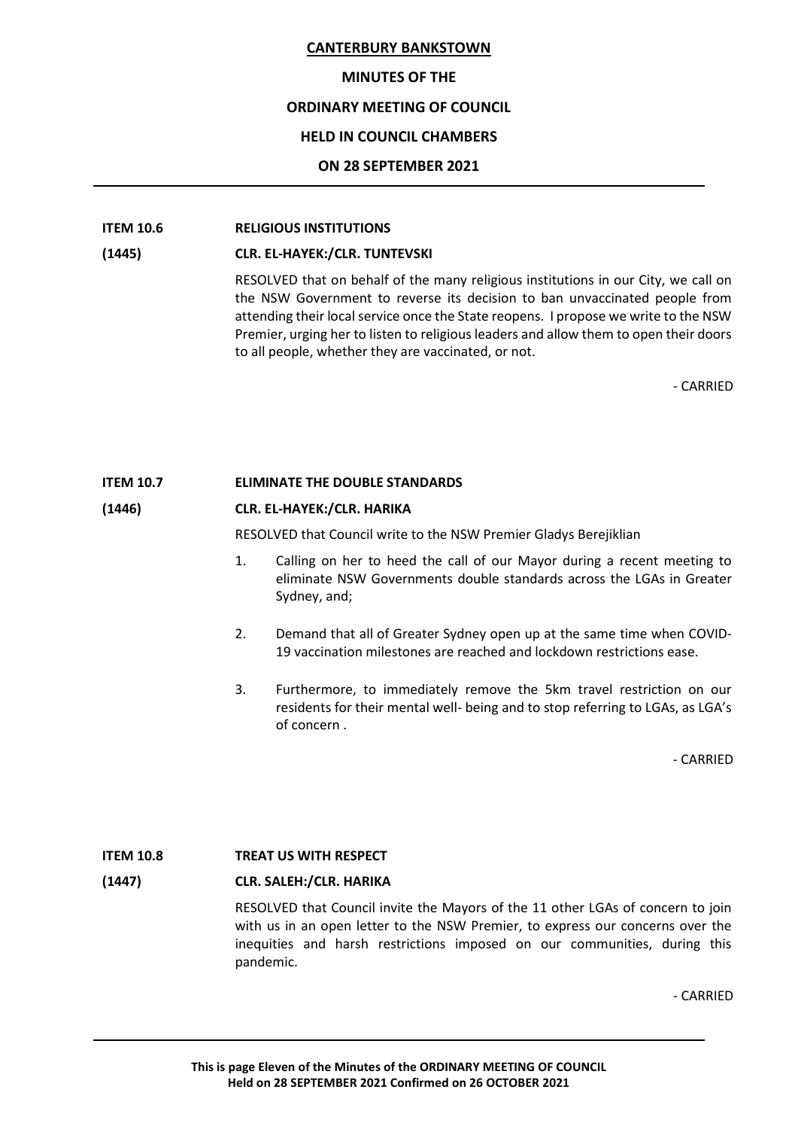### MINUTES OF THE

### ORDINARY MEETING OF COUNCIL

### HELD IN COUNCIL CHAMBERS

### ON 28 SEPTEMBER 2021

### ITEM 10.6 RELIGIOUS INSTITUTIONS

#### (1445) CLR. EL-HAYEK:/CLR. TUNTEVSKI

RESOLVED that on behalf of the many religious institutions in our City, we call on the NSW Government to reverse its decision to ban unvaccinated people from attending their local service once the State reopens. I propose we write to the NSW Premier, urging her to listen to religious leaders and allow them to open their doors to all people, whether they are vaccinated, or not.

- CARRIED

### ITEM 10.7 ELIMINATE THE DOUBLE STANDARDS

### (1446) CLR. EL-HAYEK:/CLR. HARIKA

RESOLVED that Council write to the NSW Premier Gladys Berejiklian

- 1. Calling on her to heed the call of our Mayor during a recent meeting to eliminate NSW Governments double standards across the LGAs in Greater Sydney, and;
- 2. Demand that all of Greater Sydney open up at the same time when COVID-19 vaccination milestones are reached and lockdown restrictions ease.
- 3. Furthermore, to immediately remove the 5km travel restriction on our residents for their mental well- being and to stop referring to LGAs, as LGA's of concern .

- CARRIED

### ITEM 10.8 TREAT US WITH RESPECT

#### (1447) CLR. SALEH:/CLR. HARIKA

RESOLVED that Council invite the Mayors of the 11 other LGAs of concern to join with us in an open letter to the NSW Premier, to express our concerns over the inequities and harsh restrictions imposed on our communities, during this pandemic.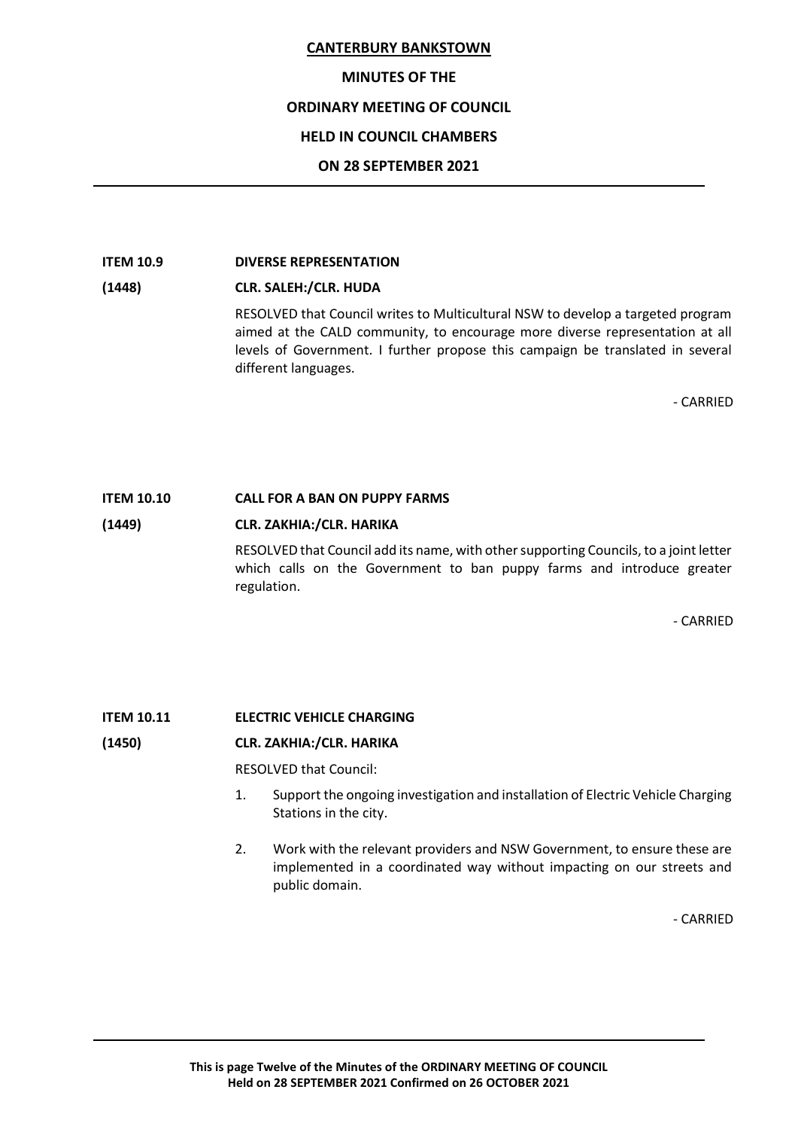### MINUTES OF THE

### ORDINARY MEETING OF COUNCIL

### HELD IN COUNCIL CHAMBERS

### ON 28 SEPTEMBER 2021

### ITEM 10.9 DIVERSE REPRESENTATION

# (1448) CLR. SALEH:/CLR. HUDA

RESOLVED that Council writes to Multicultural NSW to develop a targeted program aimed at the CALD community, to encourage more diverse representation at all levels of Government. I further propose this campaign be translated in several different languages.

- CARRIED

### ITEM 10.10 CALL FOR A BAN ON PUPPY FARMS

### (1449) CLR. ZAKHIA:/CLR. HARIKA

RESOLVED that Council add its name, with other supporting Councils, to a joint letter which calls on the Government to ban puppy farms and introduce greater regulation.

- CARRIED

### ITEM 10.11 ELECTRIC VEHICLE CHARGING

### (1450) CLR. ZAKHIA:/CLR. HARIKA

RESOLVED that Council:

- 1. Support the ongoing investigation and installation of Electric Vehicle Charging Stations in the city.
- 2. Work with the relevant providers and NSW Government, to ensure these are implemented in a coordinated way without impacting on our streets and public domain.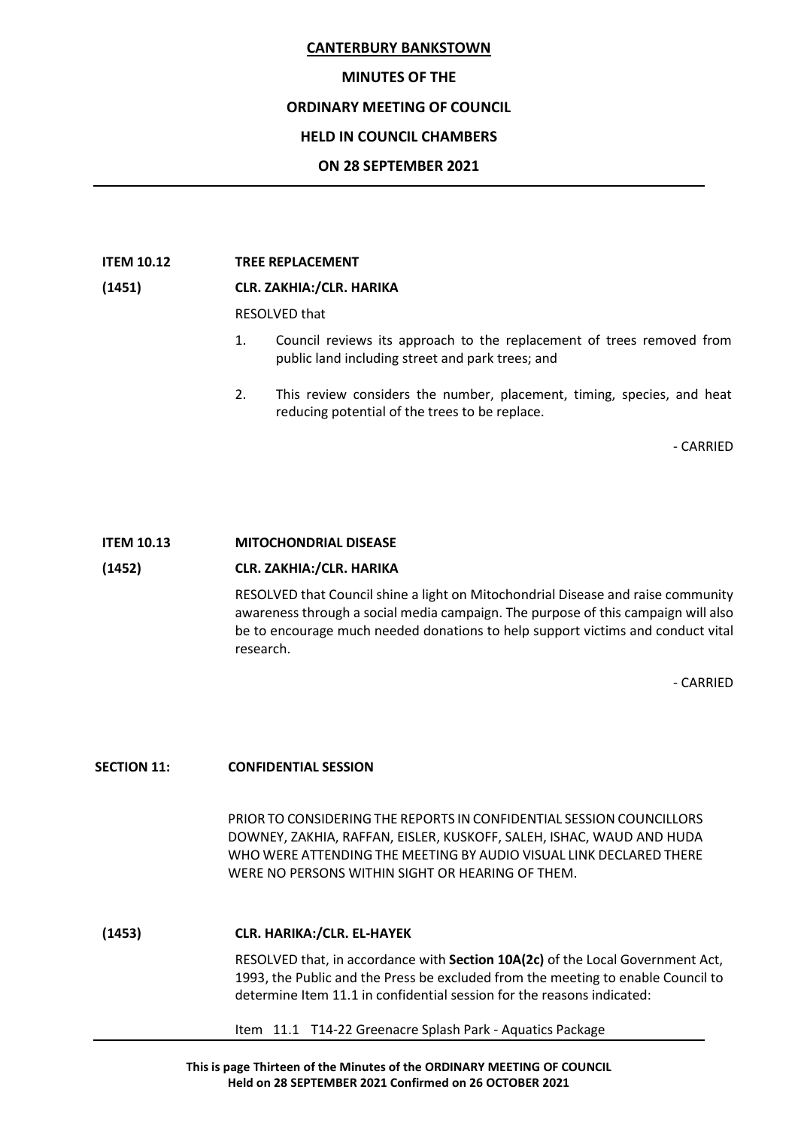#### MINUTES OF THE

### ORDINARY MEETING OF COUNCIL

### HELD IN COUNCIL CHAMBERS

### ON 28 SEPTEMBER 2021

#### ITEM 10.12 TREE REPLACEMENT

### (1451) CLR. ZAKHIA:/CLR. HARIKA

RESOLVED that

- 1. Council reviews its approach to the replacement of trees removed from public land including street and park trees; and
- 2. This review considers the number, placement, timing, species, and heat reducing potential of the trees to be replace.

- CARRIED

#### ITEM 10.13 MITOCHONDRIAL DISEASE

#### (1452) CLR. ZAKHIA:/CLR. HARIKA

RESOLVED that Council shine a light on Mitochondrial Disease and raise community awareness through a social media campaign. The purpose of this campaign will also be to encourage much needed donations to help support victims and conduct vital research.

- CARRIED

#### SECTION 11: **CONFIDENTIAL SESSION**

PRIOR TO CONSIDERING THE REPORTS IN CONFIDENTIAL SESSION COUNCILLORS DOWNEY, ZAKHIA, RAFFAN, EISLER, KUSKOFF, SALEH, ISHAC, WAUD AND HUDA WHO WERE ATTENDING THE MEETING BY AUDIO VISUAL LINK DECLARED THERE WERE NO PERSONS WITHIN SIGHT OR HEARING OF THEM.

#### (1453) CLR. HARIKA:/CLR. EL-HAYEK

RESOLVED that, in accordance with Section 10A(2c) of the Local Government Act, 1993, the Public and the Press be excluded from the meeting to enable Council to determine Item 11.1 in confidential session for the reasons indicated:

Item 11.1 T14-22 Greenacre Splash Park - Aquatics Package